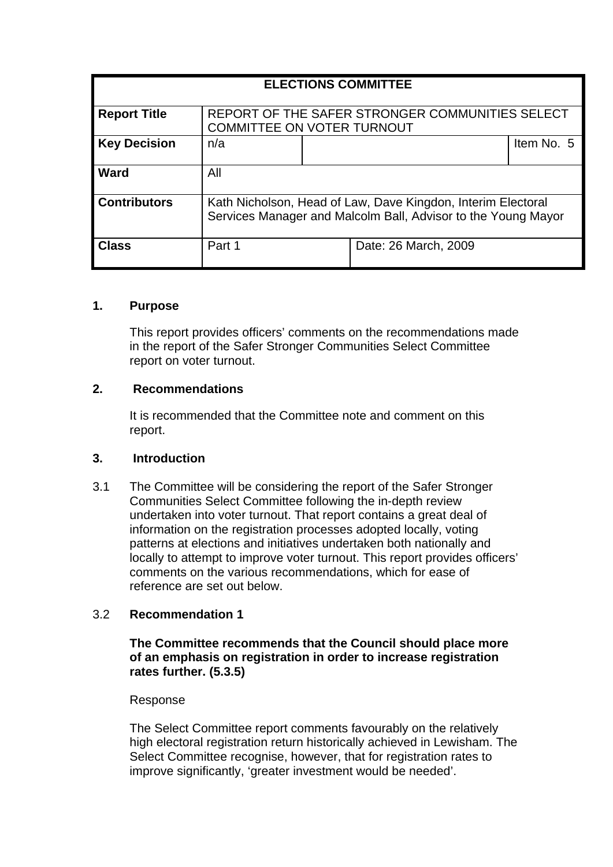| <b>ELECTIONS COMMITTEE</b> |                                                                                                                               |  |                      |            |
|----------------------------|-------------------------------------------------------------------------------------------------------------------------------|--|----------------------|------------|
| <b>Report Title</b>        | REPORT OF THE SAFER STRONGER COMMUNITIES SELECT<br><b>COMMITTEE ON VOTER TURNOUT</b>                                          |  |                      |            |
| <b>Key Decision</b>        | n/a                                                                                                                           |  |                      | Item No. 5 |
| <b>Ward</b>                | All                                                                                                                           |  |                      |            |
| <b>Contributors</b>        | Kath Nicholson, Head of Law, Dave Kingdon, Interim Electoral<br>Services Manager and Malcolm Ball, Advisor to the Young Mayor |  |                      |            |
| <b>Class</b>               | Part 1                                                                                                                        |  | Date: 26 March, 2009 |            |

## **1. Purpose**

This report provides officers' comments on the recommendations made in the report of the Safer Stronger Communities Select Committee report on voter turnout.

## **2. Recommendations**

It is recommended that the Committee note and comment on this report.

## **3. Introduction**

3.1 The Committee will be considering the report of the Safer Stronger Communities Select Committee following the in-depth review undertaken into voter turnout. That report contains a great deal of information on the registration processes adopted locally, voting patterns at elections and initiatives undertaken both nationally and locally to attempt to improve voter turnout. This report provides officers' comments on the various recommendations, which for ease of reference are set out below.

# 3.2 **Recommendation 1**

**The Committee recommends that the Council should place more of an emphasis on registration in order to increase registration rates further. (5.3.5)** 

## Response

The Select Committee report comments favourably on the relatively high electoral registration return historically achieved in Lewisham. The Select Committee recognise, however, that for registration rates to improve significantly, 'greater investment would be needed'.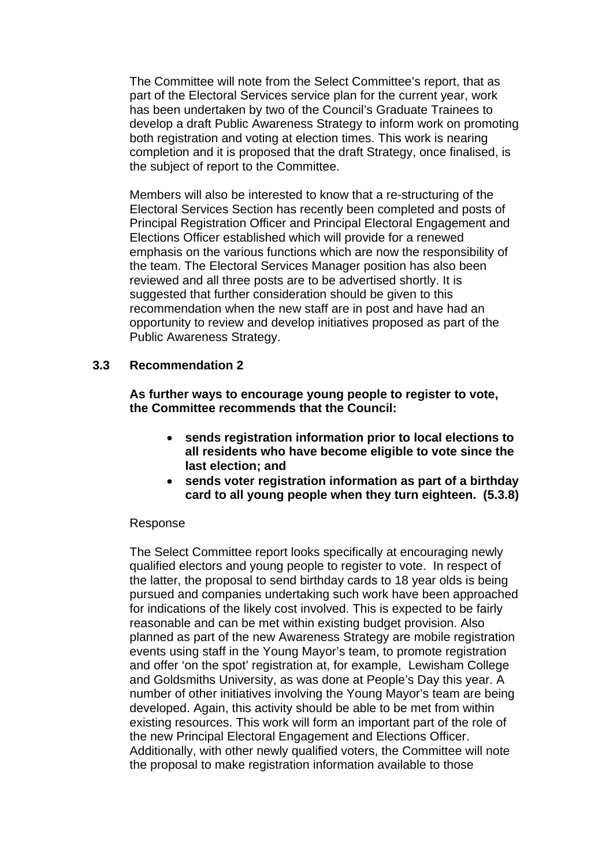The Committee will note from the Select Committee's report, that as part of the Electoral Services service plan for the current year, work has been undertaken by two of the Council's Graduate Trainees to develop a draft Public Awareness Strategy to inform work on promoting both registration and voting at election times. This work is nearing completion and it is proposed that the draft Strategy, once finalised, is the subject of report to the Committee.

Members will also be interested to know that a re-structuring of the Electoral Services Section has recently been completed and posts of Principal Registration Officer and Principal Electoral Engagement and Elections Officer established which will provide for a renewed emphasis on the various functions which are now the responsibility of the team. The Electoral Services Manager position has also been reviewed and all three posts are to be advertised shortly. It is suggested that further consideration should be given to this recommendation when the new staff are in post and have had an opportunity to review and develop initiatives proposed as part of the Public Awareness Strategy.

## **3.3 Recommendation 2**

**As further ways to encourage young people to register to vote, the Committee recommends that the Council:** 

- **sends registration information prior to local elections to all residents who have become eligible to vote since the last election; and**
- **sends voter registration information as part of a birthday card to all young people when they turn eighteen. (5.3.8)**

## Response

The Select Committee report looks specifically at encouraging newly qualified electors and young people to register to vote. In respect of the latter, the proposal to send birthday cards to 18 year olds is being pursued and companies undertaking such work have been approached for indications of the likely cost involved. This is expected to be fairly reasonable and can be met within existing budget provision. Also planned as part of the new Awareness Strategy are mobile registration events using staff in the Young Mayor's team, to promote registration and offer 'on the spot' registration at, for example, Lewisham College and Goldsmiths University, as was done at People's Day this year. A number of other initiatives involving the Young Mayor's team are being developed. Again, this activity should be able to be met from within existing resources. This work will form an important part of the role of the new Principal Electoral Engagement and Elections Officer. Additionally, with other newly qualified voters, the Committee will note the proposal to make registration information available to those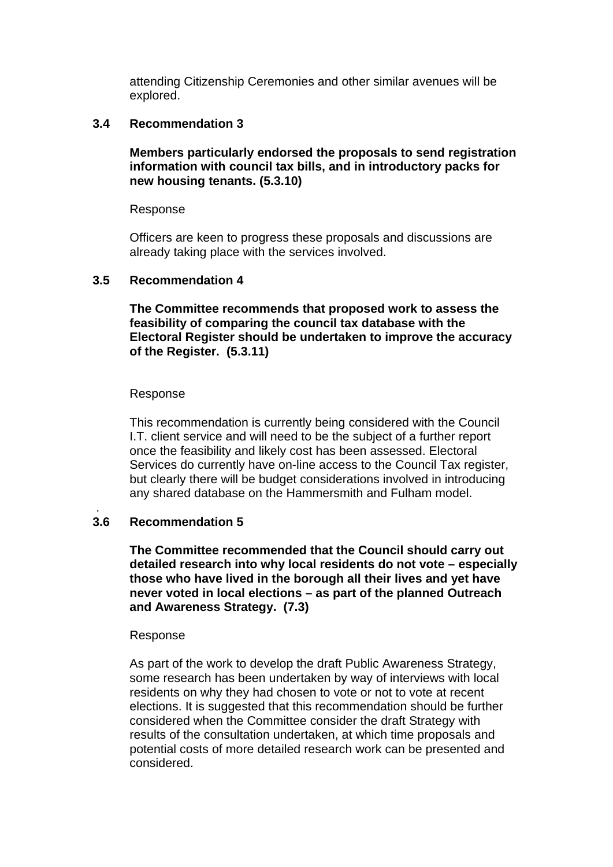attending Citizenship Ceremonies and other similar avenues will be explored.

## **3.4 Recommendation 3**

**Members particularly endorsed the proposals to send registration information with council tax bills, and in introductory packs for new housing tenants. (5.3.10)** 

#### Response

Officers are keen to progress these proposals and discussions are already taking place with the services involved.

#### **3.5 Recommendation 4**

**The Committee recommends that proposed work to assess the feasibility of comparing the council tax database with the Electoral Register should be undertaken to improve the accuracy of the Register. (5.3.11)** 

#### Response

This recommendation is currently being considered with the Council I.T. client service and will need to be the subject of a further report once the feasibility and likely cost has been assessed. Electoral Services do currently have on-line access to the Council Tax register, but clearly there will be budget considerations involved in introducing any shared database on the Hammersmith and Fulham model.

#### **3.6 Recommendation 5**

.

**The Committee recommended that the Council should carry out detailed research into why local residents do not vote – especially those who have lived in the borough all their lives and yet have never voted in local elections – as part of the planned Outreach and Awareness Strategy. (7.3)** 

#### Response

As part of the work to develop the draft Public Awareness Strategy, some research has been undertaken by way of interviews with local residents on why they had chosen to vote or not to vote at recent elections. It is suggested that this recommendation should be further considered when the Committee consider the draft Strategy with results of the consultation undertaken, at which time proposals and potential costs of more detailed research work can be presented and considered.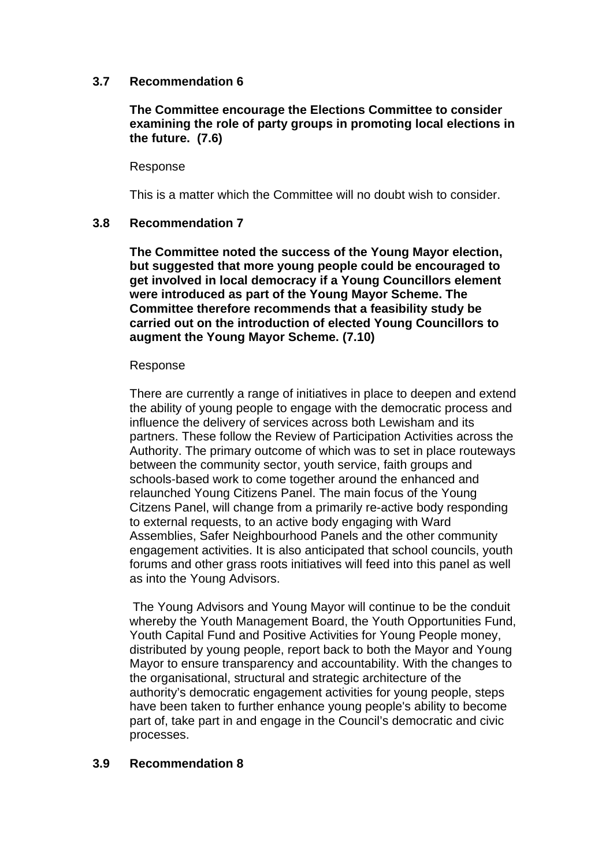## **3.7 Recommendation 6**

## **The Committee encourage the Elections Committee to consider examining the role of party groups in promoting local elections in the future. (7.6)**

#### Response

This is a matter which the Committee will no doubt wish to consider.

## **3.8 Recommendation 7**

**The Committee noted the success of the Young Mayor election, but suggested that more young people could be encouraged to get involved in local democracy if a Young Councillors element were introduced as part of the Young Mayor Scheme. The Committee therefore recommends that a feasibility study be carried out on the introduction of elected Young Councillors to augment the Young Mayor Scheme. (7.10)** 

#### Response

There are currently a range of initiatives in place to deepen and extend the ability of young people to engage with the democratic process and influence the delivery of services across both Lewisham and its partners. These follow the Review of Participation Activities across the Authority. The primary outcome of which was to set in place routeways between the community sector, youth service, faith groups and schools-based work to come together around the enhanced and relaunched Young Citizens Panel. The main focus of the Young Citzens Panel, will change from a primarily re-active body responding to external requests, to an active body engaging with Ward Assemblies, Safer Neighbourhood Panels and the other community engagement activities. It is also anticipated that school councils, youth forums and other grass roots initiatives will feed into this panel as well as into the Young Advisors.

The Young Advisors and Young Mayor will continue to be the conduit whereby the Youth Management Board, the Youth Opportunities Fund, Youth Capital Fund and Positive Activities for Young People money, distributed by young people, report back to both the Mayor and Young Mayor to ensure transparency and accountability. With the changes to the organisational, structural and strategic architecture of the authority's democratic engagement activities for young people, steps have been taken to further enhance young people's ability to become part of, take part in and engage in the Council's democratic and civic processes.

## **3.9 Recommendation 8**